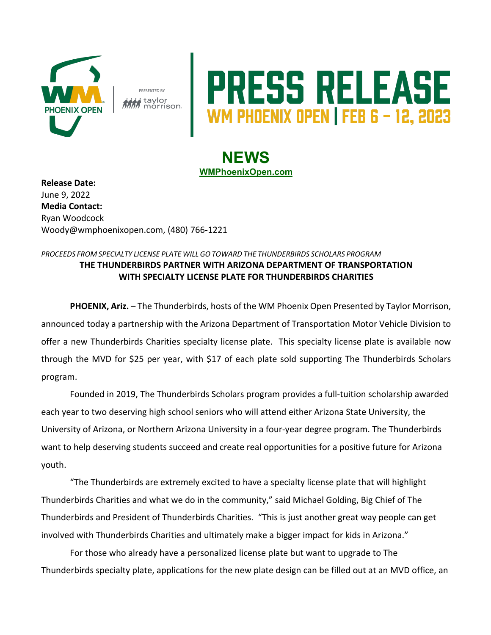

PRESENTED BY i taylor<br>I morrison.

## **RESS RELEASE**

## **NEWS WMPhoenixOpen.com**

**Release Date:**  June 9, 2022 **Media Contact:** Ryan Woodcock Woody@wmphoenixopen.com, (480) 766-1221

## *PROCEEDS FROM SPECIALTY LICENSE PLATE WILL GO TOWARD THE THUNDERBIRDS SCHOLARS PROGRAM* **THE THUNDERBIRDS PARTNER WITH ARIZONA DEPARTMENT OF TRANSPORTATION WITH SPECIALTY LICENSE PLATE FOR THUNDERBIRDS CHARITIES**

**PHOENIX, Ariz.** – The Thunderbirds, hosts of the WM Phoenix Open Presented by Taylor Morrison, announced today a partnership with the Arizona Department of Transportation Motor Vehicle Division to offer a new Thunderbirds Charities specialty license plate. This specialty license plate is available now through the MVD for \$25 per year, with \$17 of each plate sold supporting The Thunderbirds Scholars program.

Founded in 2019, The Thunderbirds Scholars program provides a full-tuition scholarship awarded each year to two deserving high school seniors who will attend either Arizona State University, the University of Arizona, or Northern Arizona University in a four-year degree program. The Thunderbirds want to help deserving students succeed and create real opportunities for a positive future for Arizona youth.

"The Thunderbirds are extremely excited to have a specialty license plate that will highlight Thunderbirds Charities and what we do in the community," said Michael Golding, Big Chief of The Thunderbirds and President of Thunderbirds Charities. "This is just another great way people can get involved with Thunderbirds Charities and ultimately make a bigger impact for kids in Arizona."

For those who already have a personalized license plate but want to upgrade to The Thunderbirds specialty plate, applications for the new plate design can be filled out at an MVD office, an